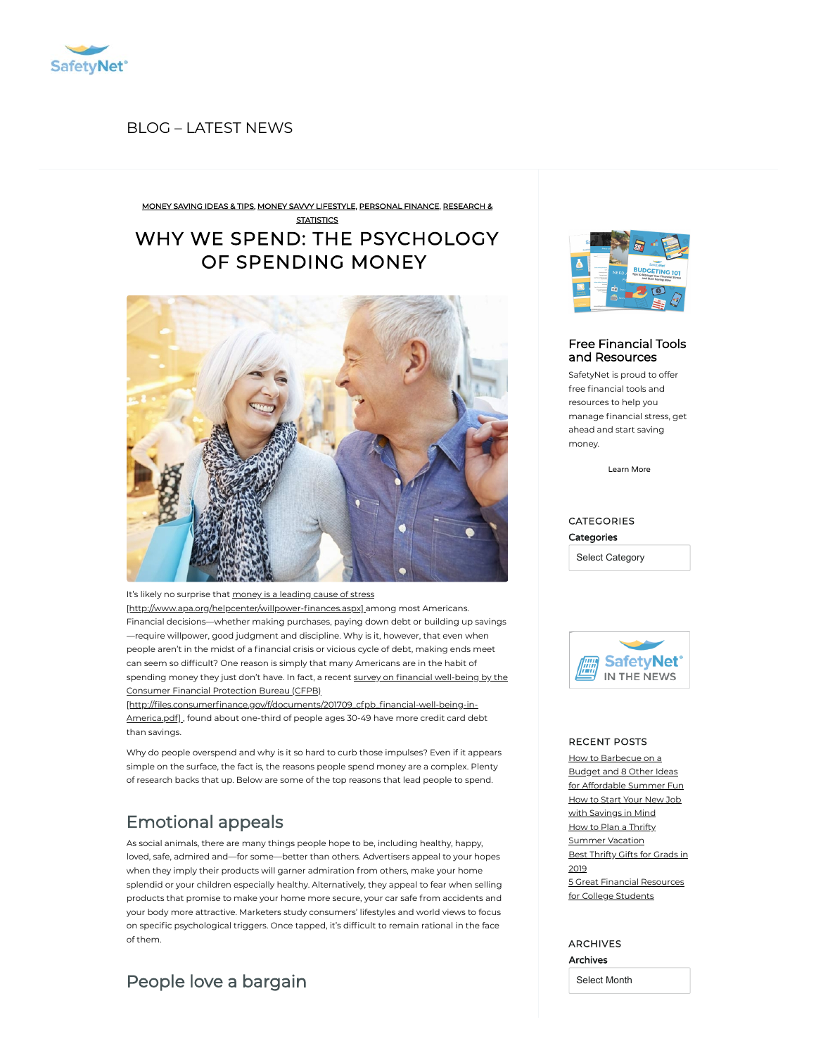

### BLOG [– LATEST](https://safetynet.com/blog/all-posts/) NEWS

[MONEY](https://safetynet.com/blog/category/tips-advice/money-saving-ideas-tips/) SAVING IDEAS & TIPS, MONEY SAVVY [LIFESTYLE,](https://safetynet.com/blog/category/tips-advice/money-savvy-lifestyle-tips/) [PERSONAL](https://safetynet.com/blog/category/news-trends/research-statistics/) FINANCE, RESEARCH &

## WHY WE SPEND: THE [PSYCHOLOGY](https://safetynet.com/blog/pyschology-of-spending-money/) OF SPENDING MONEY **STATISTICS**



It's likely no surprise that money is a leading cause of stress

[http://www.apa.org/helpcenter/willpower-finances.aspx] among most Americans. Financial decisions—whether making purchases, paying down debt or building up savings —require willpower, good judgment and discipline. Why is it, however, that even when people aren't in the midst of a financial crisis or vicious cycle of debt, making ends meet can seem so difficult? One reason is simply that many Americans are in the habit of spending money they just don't have. In fact, a recent survey on financial well-being by the Consumer Financial Protection Bureau (CFPB)

[http://files.consumerfinance.gov/f/documents/201709\_cfpb\_financial-well-being-in-America.pdf], found about one-third of people ages 30-49 have more credit card debt than savings.

Why do people overspend and why is it so hard to curb those impulses? Even if it appears simple on the surface, the fact is, the reasons people spend money are a complex. Plenty of research backs that up. Below are some of the top reasons that lead people to spend.

# Emotional appeals

As social animals, there are many things people hope to be, including healthy, happy, loved, safe, admired and—for some—better than others. Advertisers appeal to your hopes when they imply their products will garner admiration from others, make your home splendid or your children especially healthy. Alternatively, they appeal to fear when selling products that promise to make your home more secure, your car safe from accidents and your body more attractive. Marketers study consumers' lifestyles and world views to focus on specific psychological triggers. Once tapped, it's difficult to remain rational in the face of them.

## People love a bargain



#### Free Financial Tools and [Resources](https://safetynet.com/blog/resources/)

SafetyNet is proud to offer free financial tools and resources to help you manage financial stress, get ahead and start saving money.

[Learn](https://safetynet.com/blog/resources/) More

### CATEGORIES **Categories**

Select Category



#### RECENT POSTS

How [to Barbecue](https://safetynet.com/blog/how-to-barbecue-on-a-budget-and-8-other-ideas-for-affordable-summer-fun/) on a Budget and 8 Other Ideas for Affordable Summer Fun How to Start Your New Job with [Savings](https://safetynet.com/blog/start-your-new-job-with-savings-in-mind/) in Mind How to Plan a Thrifty [Summer](https://safetynet.com/blog/how-to-plan-a-thrifty-summer-vacation/) Vacation Best [Thrifty](https://safetynet.com/blog/best-thrifty-gifts-for-grads-in-2019/) Gifts for Grads in 2019 5 Great Financial [Resources](https://safetynet.com/blog/5-great-financial-resources-for-college-students/) for College Students

#### ARCHIVES Archives

Select Month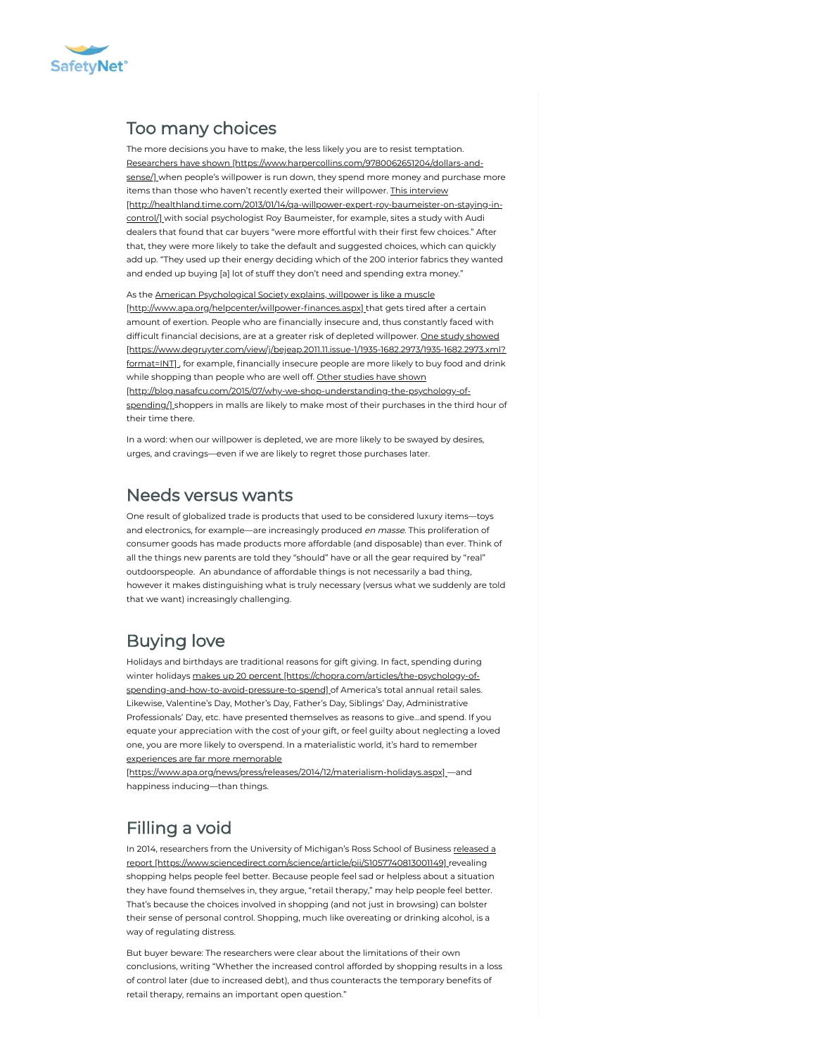

## Too many choices

The more decisions you have to make, the less likely you are to resist temptation. Researchers have shown [\[https://www.harpercollins.com/9780062651204/dollars-and](https://www.harpercollins.com/9780062651204/dollars-and-sense/)sense/] when people's willpower is run down, they spend more money and purchase more items than those who haven't recently exerted their willpower. This interview [\[http://healthland.time.com/2013/01/14/qa-willpower-expert-roy-baumeister-on-staying-in](http://healthland.time.com/2013/01/14/qa-willpower-expert-roy-baumeister-on-staying-in-control/)control/] with social psychologist Roy Baumeister, for example, sites a study with Audi dealers that found that car buyers "were more effortful with their first few choices." After that, they were more likely to take the default and suggested choices, which can quickly add up. "They used up their energy deciding which of the 200 interior fabrics they wanted and ended up buying [a] lot of stuff they don't need and spending extra money."

As the American Psychological Society explains, willpower is like a muscle [http://www.apa.org/helpcenter/willpower-finances.aspx] that gets tired after a certain amount of exertion. People who are financially insecure and, thus constantly faced with difficult financial decisions, are at a greater risk of depleted willpower. One study showed [\[https://www.degruyter.com/view/j/bejeap.2011.11.issue-1/1935-1682.2973/1935-1682.2973.xml?](https://www.degruyter.com/view/j/bejeap.2011.11.issue-1/1935-1682.2973/1935-1682.2973.xml?format=INT) format=INTI, for example, financially insecure people are more likely to buy food and drink while shopping than people who are well off. Other studies have shown [\[http://blog.nasafcu.com/2015/07/why-we-shop-understanding-the-psychology-of](http://blog.nasafcu.com/2015/07/why-we-shop-understanding-the-psychology-of-spending/)spending/] shoppers in malls are likely to make most of their purchases in the third hour of their time there.

In a word: when our willpower is depleted, we are more likely to be swayed by desires, urges, and cravings—even if we are likely to regret those purchases later.

## Needs versus wants

One result of globalized trade is products that used to be considered luxury items—toys and electronics, for example—are increasingly produced en masse. This proliferation of consumer goods has made products more affordable (and disposable) than ever. Think of all the things new parents are told they "should" have or all the gear required by "real" outdoorspeople. An abundance of affordable things is not necessarily a bad thing, however it makes distinguishing what is truly necessary (versus what we suddenly are told that we want) increasingly challenging.

# Buying love

Holidays and birthdays are traditional reasons for gift giving. In fact, spending during winter holidays makes up 20 percent [https://chopra.com/articles/the-psychology-of[spending-and-how-to-avoid-pressure-to-spend\]](https://chopra.com/articles/the-psychology-of-spending-and-how-to-avoid-pressure-to-spend) of America's total annual retail sales. Likewise, Valentine's Day, Mother's Day, Father's Day, Siblings' Day, Administrative Professionals' Day, etc. have presented themselves as reasons to give…and spend. If you equate your appreciation with the cost of your gift, or feel guilty about neglecting a loved one, you are more likely to overspend. In a materialistic world, it's hard to remember experiences are far more memorable

[\[https://www.apa.org/news/press/releases/2014/12/materialism-holidays.aspx\]](https://www.apa.org/news/press/releases/2014/12/materialism-holidays.aspx) —and happiness inducing—than things.

# Filling a void

In 2014, researchers from the University of Michigan's Ross School of Business released a report [\[https://www.sciencedirect.com/science/article/pii/S1057740813001149\]](https://www.sciencedirect.com/science/article/pii/S1057740813001149) revealing shopping helps people feel better. Because people feel sad or helpless about a situation they have found themselves in, they argue, "retail therapy," may help people feel better. That's because the choices involved in shopping (and not just in browsing) can bolster their sense of personal control. Shopping, much like overeating or drinking alcohol, is a way of regulating distress.

But buyer beware: The researchers were clear about the limitations of their own conclusions, writing "Whether the increased control afforded by shopping results in a loss of control later (due to increased debt), and thus counteracts the temporary benefits of retail therapy, remains an important open question."